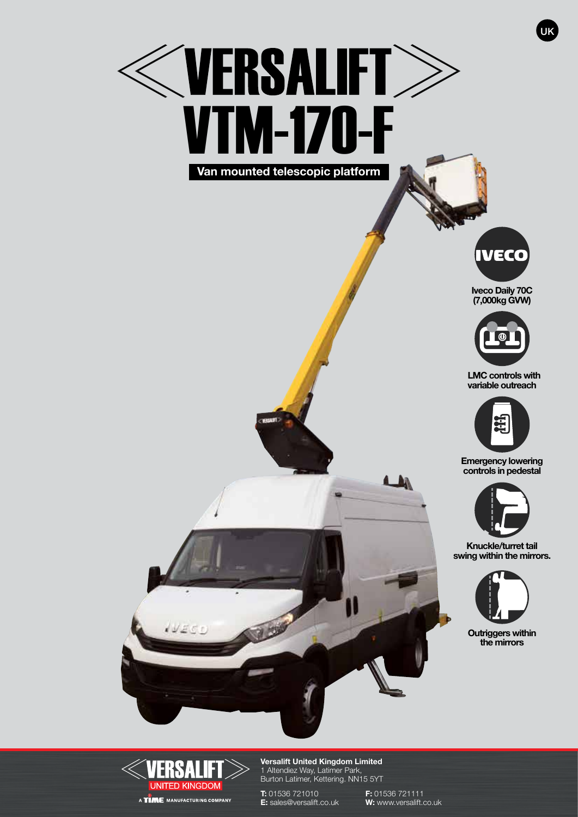# **WERSALIFT** VTM-170-F **Van mounted telescopic platform**



UK

**Iveco Daily 70C (7,000kg GVW)**



 **LMC controls with variable outreach**



**Emergency lowering controls in pedestal**



**Knuckle/turret tail swing within the mirrors.** 



**Outriggers within the mirrors**



**Versalift United Kingdom Limited** 1 Altendiez Way, Latimer Park, Burton Latimer, Kettering. NN15 5YT

**T:** 01536 721010 **F:** 01536 721111

**E:** sales@versalift.co.uk **W:** www.versalift.co.uk

LAN